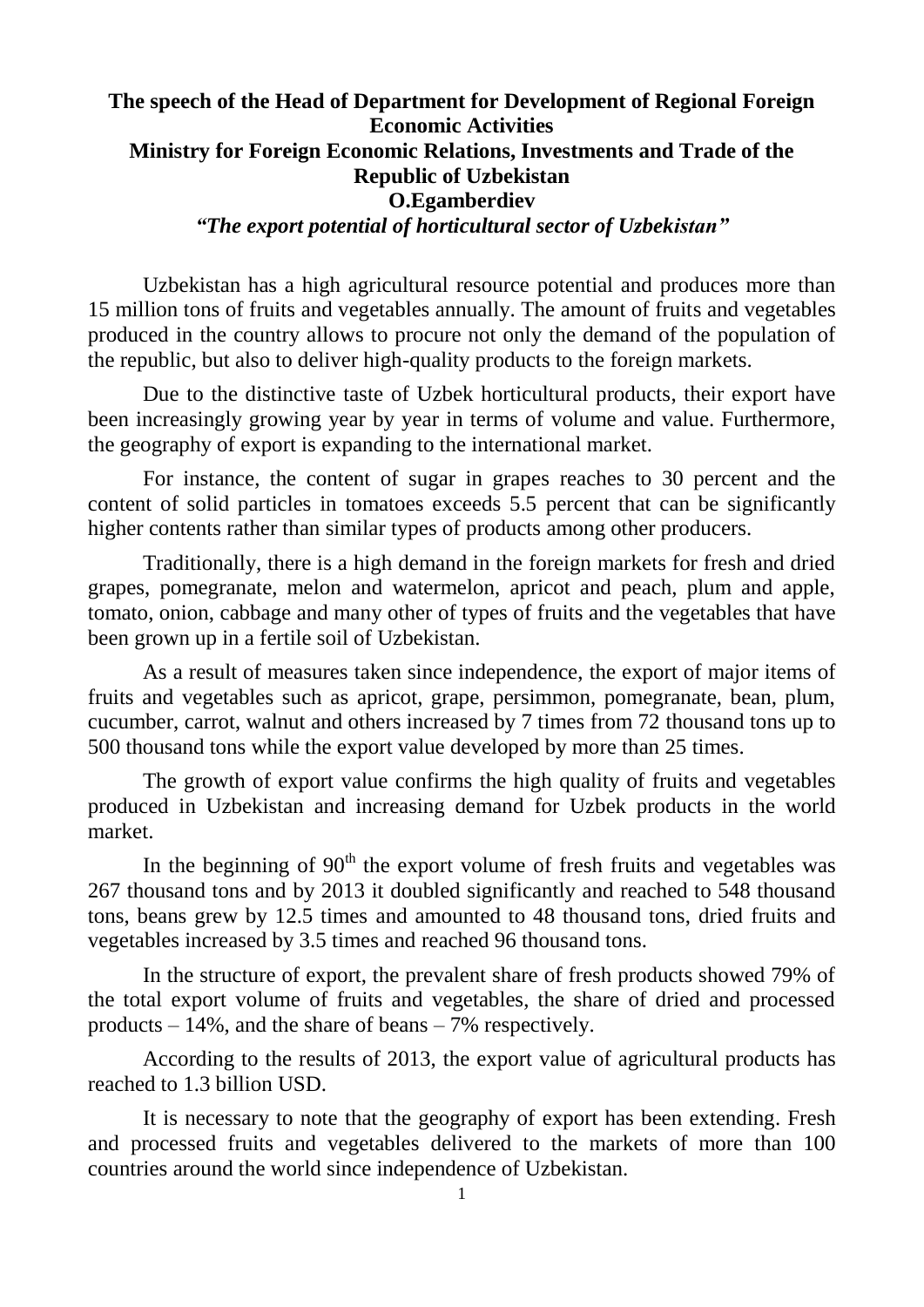## **The speech of the Head of Department for Development of Regional Foreign Economic Activities Ministry for Foreign Economic Relations, Investments and Trade of the Republic of Uzbekistan O.Egamberdiev** *"The export potential of horticultural sector of Uzbekistan"*

Uzbekistan has a high agricultural resource potential and produces more than 15 million tons of fruits and vegetables annually. The amount of fruits and vegetables produced in the country allows to procure not only the demand of the population of the republic, but also to deliver high-quality products to the foreign markets.

Due to the distinctive taste of Uzbek horticultural products, their export have been increasingly growing year by year in terms of volume and value. Furthermore, the geography of export is expanding to the international market.

For instance, the content of sugar in grapes reaches to 30 percent and the content of solid particles in tomatoes exceeds 5.5 percent that can be significantly higher contents rather than similar types of products among other producers.

Traditionally, there is a high demand in the foreign markets for fresh and dried grapes, pomegranate, melon and watermelon, apricot and peach, plum and apple, tomato, onion, cabbage and many other of types of fruits and the vegetables that have been grown up in a fertile soil of Uzbekistan.

As a result of measures taken since independence, the export of major items of fruits and vegetables such as apricot, grape, persimmon, pomegranate, bean, plum, cucumber, carrot, walnut and others increased by 7 times from 72 thousand tons up to 500 thousand tons while the export value developed by more than 25 times.

The growth of export value confirms the high quality of fruits and vegetables produced in Uzbekistan and increasing demand for Uzbek products in the world market.

In the beginning of  $90<sup>th</sup>$  the export volume of fresh fruits and vegetables was 267 thousand tons and by 2013 it doubled significantly and reached to 548 thousand tons, beans grew by 12.5 times and amounted to 48 thousand tons, dried fruits and vegetables increased by 3.5 times and reached 96 thousand tons.

In the structure of export, the prevalent share of fresh products showed 79% of the total export volume of fruits and vegetables, the share of dried and processed products – 14%, and the share of beans – 7% respectively.

According to the results of 2013, the export value of agricultural products has reached to 1.3 billion USD.

It is necessary to note that the geography of export has been extending. Fresh and processed fruits and vegetables delivered to the markets of more than 100 countries around the world since independence of Uzbekistan.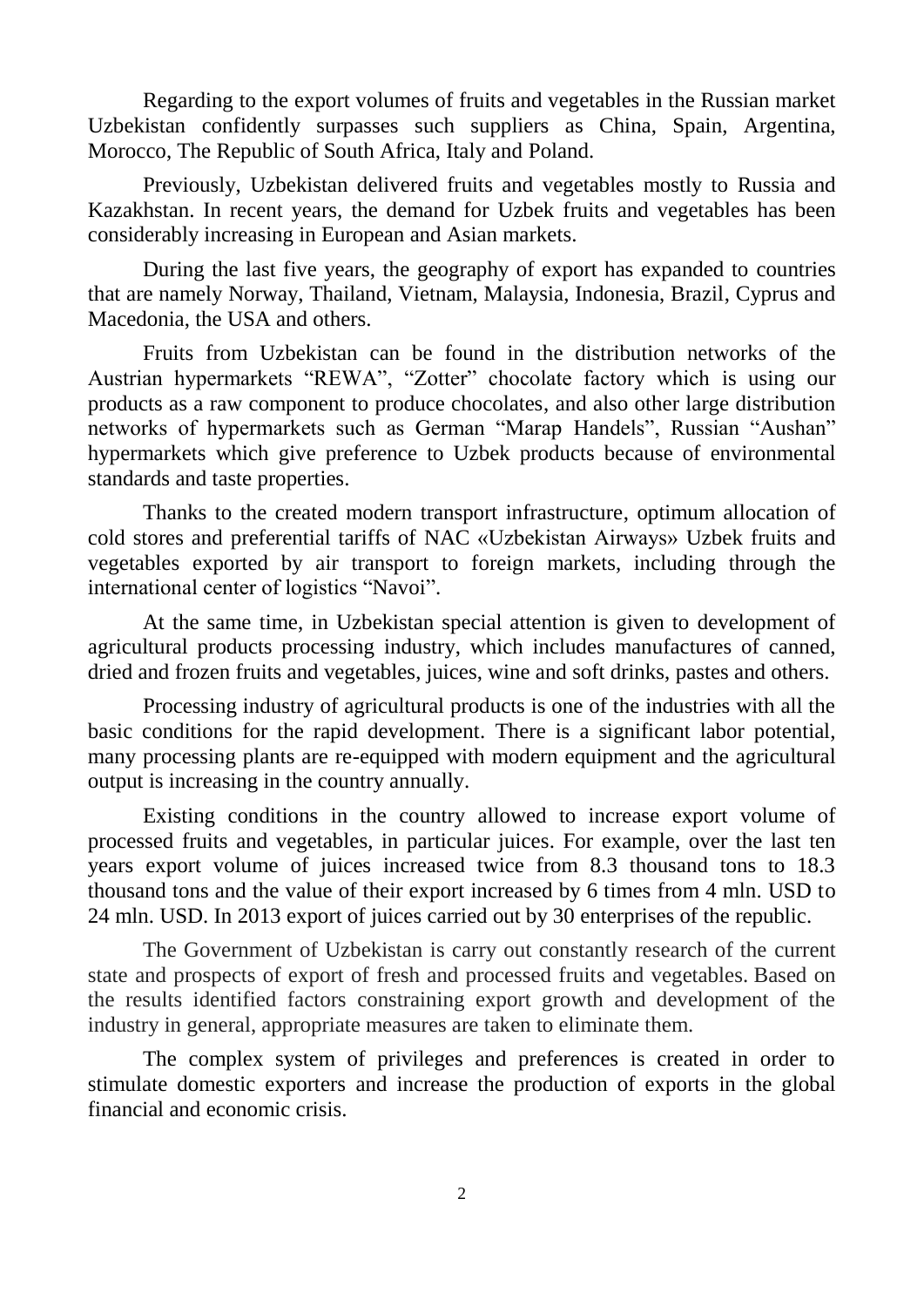Regarding to the export volumes of fruits and vegetables in the Russian market Uzbekistan confidently surpasses such suppliers as China, Spain, Argentina, Morocco, The Republic of South Africa, Italy and Poland.

Previously, Uzbekistan delivered fruits and vegetables mostly to Russia and Kazakhstan. In recent years, the demand for Uzbek fruits and vegetables has been considerably increasing in European and Asian markets.

During the last five years, the geography of export has expanded to countries that are namely Norway, Thailand, Vietnam, Malaysia, Indonesia, Brazil, Cyprus and Macedonia, the USA and others.

Fruits from Uzbekistan can be found in the distribution networks of the Austrian hypermarkets "REWA", "Zotter" chocolate factory which is using our products as a raw component to produce chocolates, and also other large distribution networks of hypermarkets such as German "Marap Handels", Russian "Aushan" hypermarkets which give preference to Uzbek products because of environmental standards and taste properties.

Thanks to the created modern transport infrastructure, optimum allocation of cold stores and preferential tariffs of NAC «Uzbekistan Airways» Uzbek fruits and vegetables exported by air transport to foreign markets, including through the international center of logistics "Navoi".

At the same time, in Uzbekistan special attention is given to development of agricultural products processing industry, which includes manufactures of canned, dried and frozen fruits and vegetables, juices, wine and soft drinks, pastes and others.

Processing industry of agricultural products is one of the industries with all the basic conditions for the rapid development. There is a significant labor potential, many processing plants are re-equipped with modern equipment and the agricultural output is increasing in the country annually.

Existing conditions in the country allowed to increase export volume of processed fruits and vegetables, in particular juices. For example, over the last ten years export volume of juices increased twice from 8.3 thousand tons to 18.3 thousand tons and the value of their export increased by 6 times from 4 mln. USD to 24 mln. USD. In 2013 export of juices carried out by 30 enterprises of the republic.

The Government of Uzbekistan is carry out constantly research of the current state and prospects of export of fresh and processed fruits and vegetables. Based on the results identified factors constraining export growth and development of the industry in general, appropriate measures are taken to eliminate them.

The complex system of privileges and preferences is created in order to stimulate domestic exporters and increase the production of exports in the global financial and economic crisis.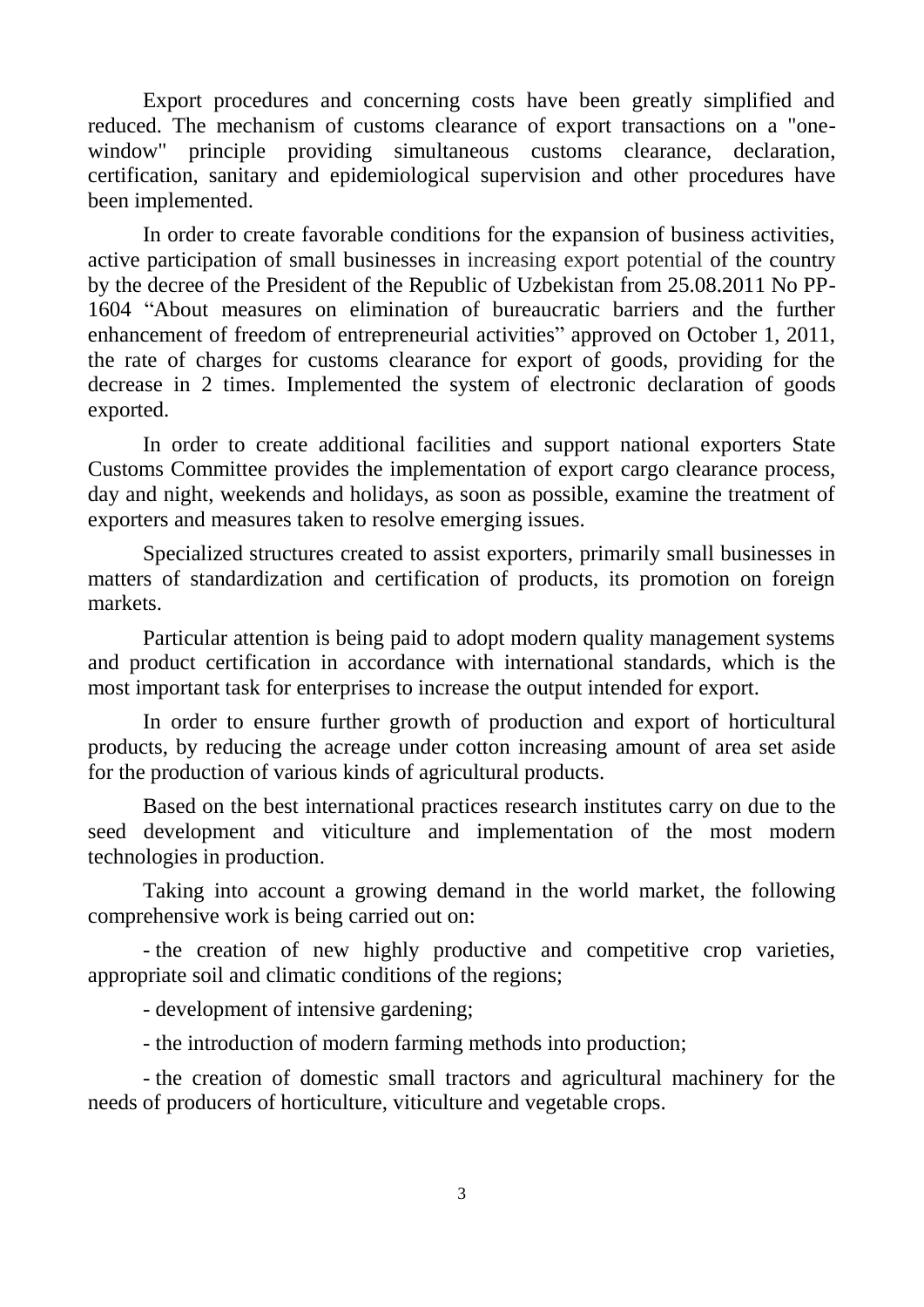Export procedures and concerning costs have been greatly simplified and reduced. The mechanism of customs clearance of export transactions on a "onewindow" principle providing simultaneous customs clearance, declaration, certification, sanitary and epidemiological supervision and other procedures have been implemented.

In order to create favorable conditions for the expansion of business activities, active participation of small businesses in increasing export potential of the country by the decree of the President of the Republic of Uzbekistan from 25.08.2011 No PP-1604 "About measures on elimination of bureaucratic barriers and the further enhancement of freedom of entrepreneurial activities" approved on October 1, 2011, the rate of charges for customs clearance for export of goods, providing for the decrease in 2 times. Implemented the system of electronic declaration of goods exported.

In order to create additional facilities and support national exporters State Customs Committee provides the implementation of export cargo clearance process, day and night, weekends and holidays, as soon as possible, examine the treatment of exporters and measures taken to resolve emerging issues.

Specialized structures created to assist exporters, primarily small businesses in matters of standardization and certification of products, its promotion on foreign markets.

Particular attention is being paid to adopt modern quality management systems and product certification in accordance with international standards, which is the most important task for enterprises to increase the output intended for export.

In order to ensure further growth of production and export of horticultural products, by reducing the acreage under cotton increasing amount of area set aside for the production of various kinds of agricultural products.

Based on the best international practices research institutes carry on due to the seed development and viticulture and implementation of the most modern technologies in production.

Taking into account a growing demand in the world market, the following comprehensive work is being carried out on:

- the creation of new highly productive and competitive crop varieties, appropriate soil and climatic conditions of the regions;

- development of intensive gardening;

- the introduction of modern farming methods into production;

- the creation of domestic small tractors and agricultural machinery for the needs of producers of horticulture, viticulture and vegetable crops.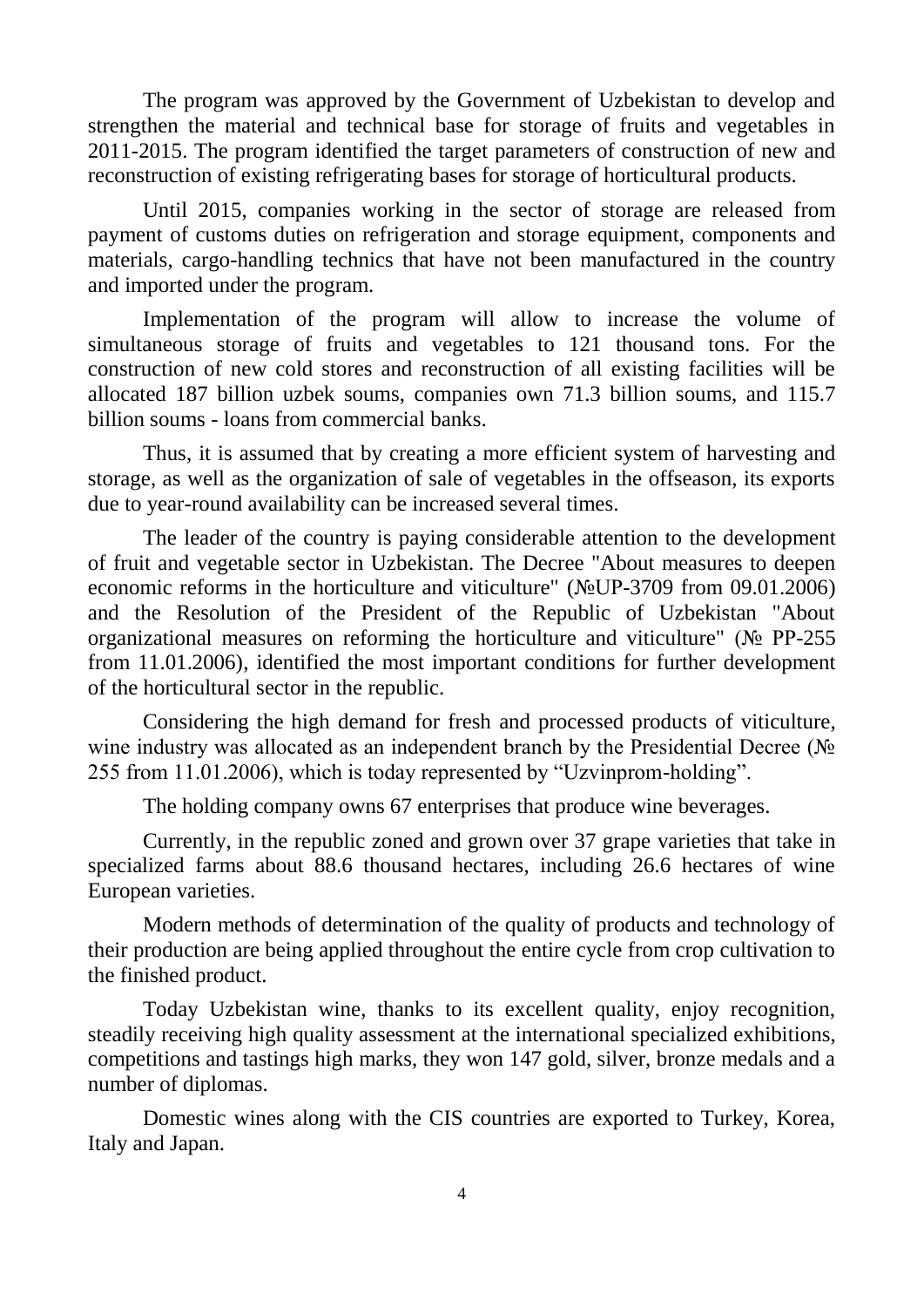The program was approved by the Government of Uzbekistan to develop and strengthen the material and technical base for storage of fruits and vegetables in 2011-2015. The program identified the target parameters of construction of new and reconstruction of existing refrigerating bases for storage of horticultural products.

Until 2015, companies working in the sector of storage are released from payment of customs duties on refrigeration and storage equipment, components and materials, cargo-handling technics that have not been manufactured in the country and imported under the program.

Implementation of the program will allow to increase the volume of simultaneous storage of fruits and vegetables to 121 thousand tons. For the construction of new cold stores and reconstruction of all existing facilities will be allocated 187 billion uzbek soums, companies own 71.3 billion soums, and 115.7 billion soums - loans from commercial banks.

Thus, it is assumed that by creating a more efficient system of harvesting and storage, as well as the organization of sale of vegetables in the offseason, its exports due to year-round availability can be increased several times.

The leader of the country is paying considerable attention to the development of fruit and vegetable sector in Uzbekistan. The Decree "About measures to deepen economic reforms in the horticulture and viticulture" (N<sup>o</sup>UP-3709 from 09.01.2006) and the Resolution of the President of the Republic of Uzbekistan "About organizational measures on reforming the horticulture and viticulture" ( $\mathcal{N}_{\mathcal{Q}}$  PP-255 from 11.01.2006), identified the most important conditions for further development of the horticultural sector in the republic.

Considering the high demand for fresh and processed products of viticulture, wine industry was allocated as an independent branch by the Presidential Decree ( $N_2$ ) 255 from 11.01.2006), which is today represented by "Uzvinprom-holding".

The holding company owns 67 enterprises that produce wine beverages.

Currently, in the republic zoned and grown over 37 grape varieties that take in specialized farms about 88.6 thousand hectares, including 26.6 hectares of wine European varieties.

Modern methods of determination of the quality of products and technology of their production are being applied throughout the entire cycle from crop cultivation to the finished product.

Today Uzbekistan wine, thanks to its excellent quality, enjoy recognition, steadily receiving high quality assessment at the international specialized exhibitions, competitions and tastings high marks, they won 147 gold, silver, bronze medals and a number of diplomas.

Domestic wines along with the CIS countries are exported to Turkey, Korea, Italy and Japan.